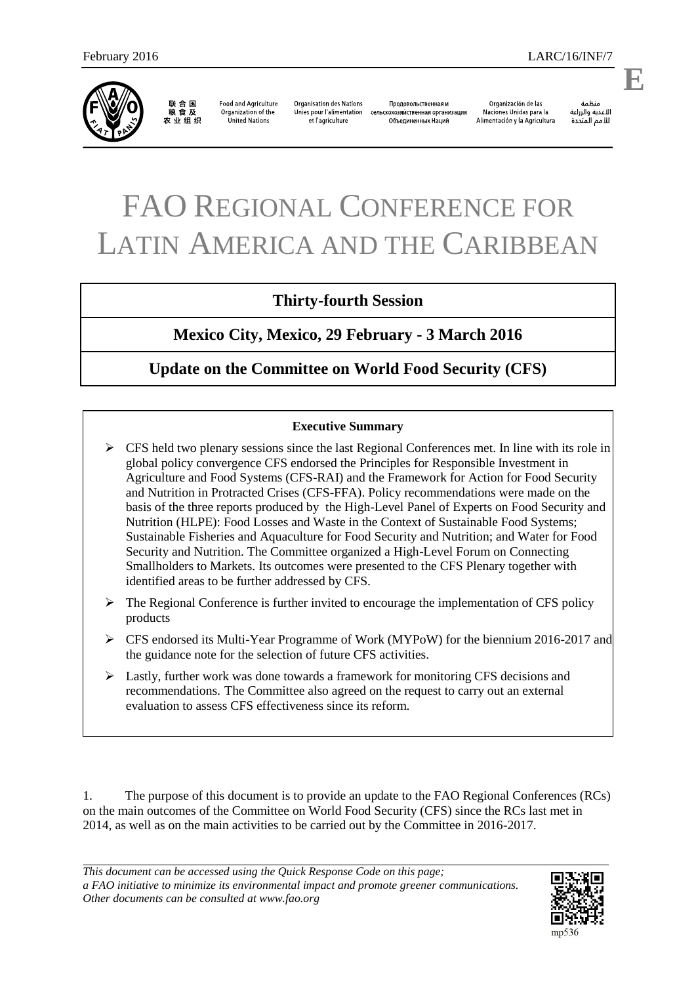

联合国<br>粮食及 农业组织

**Food and Agriculture** Organization of the United Nations

**Organisation des Nations** Unies pour l'alimentation et l'agriculture

Продовольственная и сельскохозяйственная организация Объединенных Наций

Organización de las Naciones Unidas para la Alimentación y la Agricultura

änhin الأغذية والزراعة للأمم المتحدة

# FAO REGIONAL CONFERENCE FOR LATIN AMERICA AND THE CARIBBEAN

# **Thirty-fourth Session**

**Mexico City, Mexico, 29 February - 3 March 2016** 

## **Update on the Committee on World Food Security (CFS)**

#### **Executive Summary**

- $\triangleright$  CFS held two plenary sessions since the last Regional Conferences met. In line with its role in global policy convergence CFS endorsed the Principles for Responsible Investment in Agriculture and Food Systems (CFS-RAI) and the Framework for Action for Food Security and Nutrition in Protracted Crises (CFS-FFA). Policy recommendations were made on the basis of the three reports produced by the High-Level Panel of Experts on Food Security and Nutrition (HLPE): Food Losses and Waste in the Context of Sustainable Food Systems; Sustainable Fisheries and Aquaculture for Food Security and Nutrition; and Water for Food Security and Nutrition. The Committee organized a High-Level Forum on Connecting Smallholders to Markets. Its outcomes were presented to the CFS Plenary together with identified areas to be further addressed by CFS.
- $\triangleright$  The Regional Conference is further invited to encourage the implementation of CFS policy products
- CFS endorsed its Multi-Year Programme of Work (MYPoW) for the biennium 2016-2017 and the guidance note for the selection of future CFS activities.
- $\triangleright$  Lastly, further work was done towards a framework for monitoring CFS decisions and recommendations. The Committee also agreed on the request to carry out an external evaluation to assess CFS effectiveness since its reform.

1. The purpose of this document is to provide an update to the FAO Regional Conferences (RCs) on the main outcomes of the Committee on World Food Security (CFS) since the RCs last met in 2014, as well as on the main activities to be carried out by the Committee in 2016-2017.

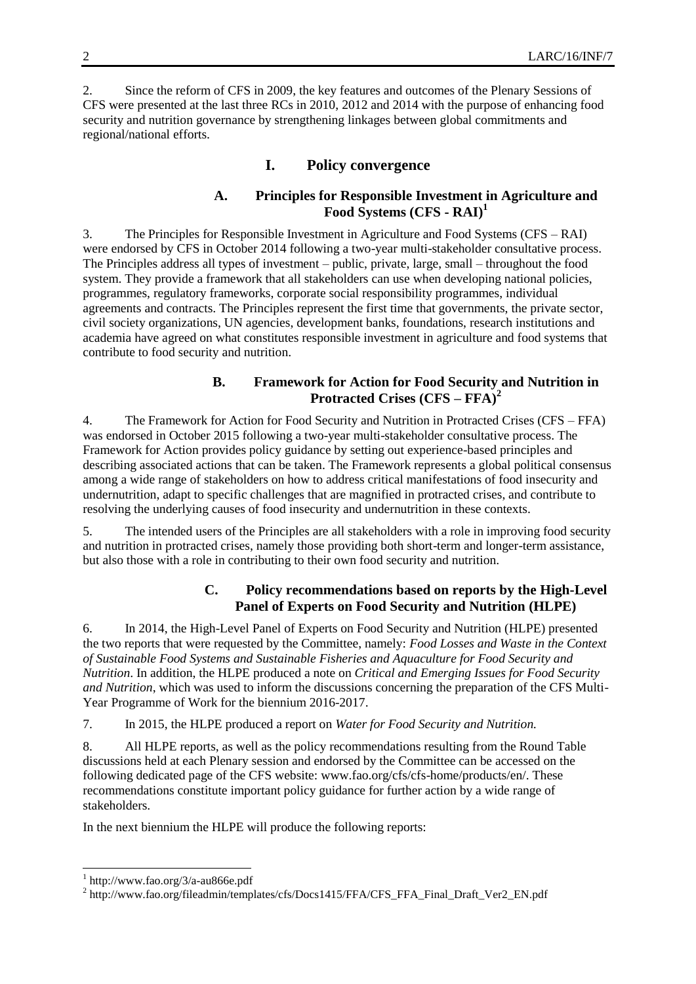2. Since the reform of CFS in 2009, the key features and outcomes of the Plenary Sessions of CFS were presented at the last three RCs in 2010, 2012 and 2014 with the purpose of enhancing food security and nutrition governance by strengthening linkages between global commitments and regional/national efforts.

### **I. Policy convergence**

#### **A. Principles for Responsible Investment in Agriculture and Food Systems (CFS - RAI)<sup>1</sup>**

3. The Principles for Responsible Investment in Agriculture and Food Systems (CFS – RAI) were endorsed by CFS in October 2014 following a two-year multi-stakeholder consultative process. The Principles address all types of investment – public, private, large, small – throughout the food system. They provide a framework that all stakeholders can use when developing national policies, programmes, regulatory frameworks, corporate social responsibility programmes, individual agreements and contracts. The Principles represent the first time that governments, the private sector, civil society organizations, UN agencies, development banks, foundations, research institutions and academia have agreed on what constitutes responsible investment in agriculture and food systems that contribute to food security and nutrition.

#### **B. Framework for Action for Food Security and Nutrition in Protracted Crises (CFS – FFA)<sup>2</sup>**

4. The Framework for Action for Food Security and Nutrition in Protracted Crises (CFS – FFA) was endorsed in October 2015 following a two-year multi-stakeholder consultative process. The Framework for Action provides policy guidance by setting out experience-based principles and describing associated actions that can be taken. The Framework represents a global political consensus among a wide range of stakeholders on how to address critical manifestations of food insecurity and undernutrition, adapt to specific challenges that are magnified in protracted crises, and contribute to resolving the underlying causes of food insecurity and undernutrition in these contexts.

5. The intended users of the Principles are all stakeholders with a role in improving food security and nutrition in protracted crises, namely those providing both short-term and longer-term assistance, but also those with a role in contributing to their own food security and nutrition.

#### **C. Policy recommendations based on reports by the High-Level Panel of Experts on Food Security and Nutrition (HLPE)**

6. In 2014, the High-Level Panel of Experts on Food Security and Nutrition (HLPE) presented the two reports that were requested by the Committee, namely: *Food Losses and Waste in the Context of Sustainable Food Systems and Sustainable Fisheries and Aquaculture for Food Security and Nutrition*. In addition, the HLPE produced a note on *Critical and Emerging Issues for Food Security and Nutrition*, which was used to inform the discussions concerning the preparation of the CFS Multi-Year Programme of Work for the biennium 2016-2017.

7. In 2015, the HLPE produced a report on *Water for Food Security and Nutrition.*

8. All HLPE reports, as well as the policy recommendations resulting from the Round Table discussions held at each Plenary session and endorsed by the Committee can be accessed on the following dedicated page of the CFS website: www.fao.org/cfs/cfs-home/products/en/. These recommendations constitute important policy guidance for further action by a wide range of stakeholders.

In the next biennium the HLPE will produce the following reports:

l

<sup>1</sup> http://www.fao.org/3/a-au866e.pdf

<sup>&</sup>lt;sup>2</sup> http://www.fao.org/fileadmin/templates/cfs/Docs1415/FFA/CFS\_FFA\_Final\_Draft\_Ver2\_EN.pdf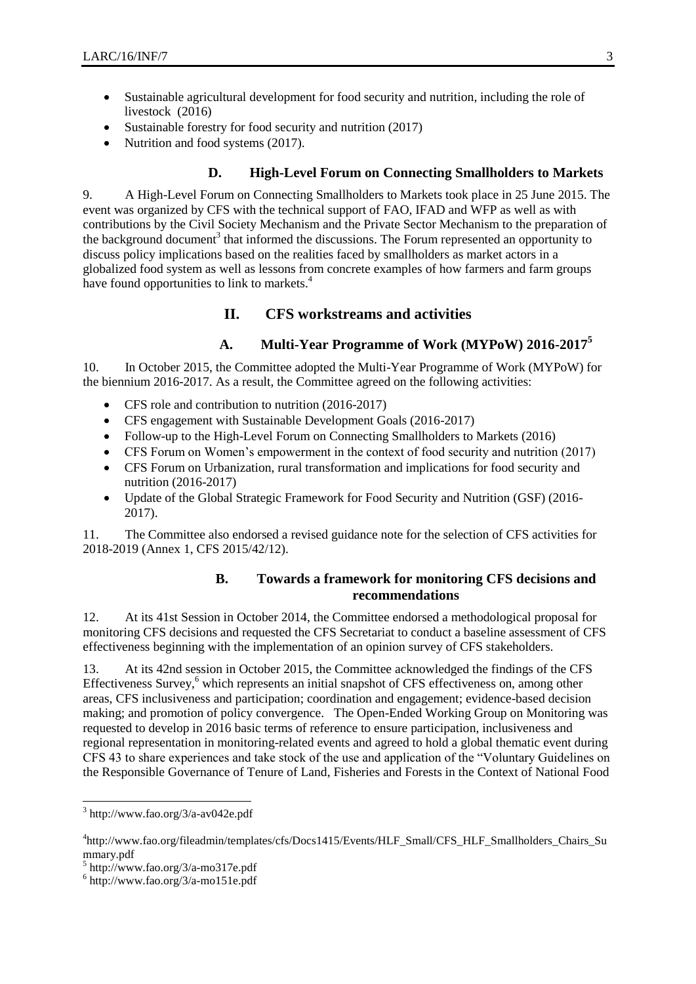- Sustainable agricultural development for food security and nutrition, including the role of livestock (2016)
- Sustainable forestry for food security and nutrition (2017)
- Nutrition and food systems (2017).

#### **D. High-Level Forum on Connecting Smallholders to Markets**

9. A High-Level Forum on Connecting Smallholders to Markets took place in 25 June 2015. The event was organized by CFS with the technical support of FAO, IFAD and WFP as well as with contributions by the Civil Society Mechanism and the Private Sector Mechanism to the preparation of the background document<sup>3</sup> that informed the discussions. The Forum represented an opportunity to discuss policy implications based on the realities faced by smallholders as market actors in a globalized food system as well as lessons from concrete examples of how farmers and farm groups have found opportunities to link to markets.<sup>4</sup>

#### **II. CFS workstreams and activities**

#### **A. Multi-Year Programme of Work (MYPoW) 2016-2017<sup>5</sup>**

10. In October 2015, the Committee adopted the Multi-Year Programme of Work (MYPoW) for the biennium 2016-2017. As a result, the Committee agreed on the following activities:

- CFS role and contribution to nutrition (2016-2017)
- CFS engagement with Sustainable Development Goals (2016-2017)
- Follow-up to the High-Level Forum on Connecting Smallholders to Markets (2016)
- CFS Forum on Women's empowerment in the context of food security and nutrition (2017)
- CFS Forum on Urbanization, rural transformation and implications for food security and nutrition (2016-2017)
- Update of the Global Strategic Framework for Food Security and Nutrition (GSF) (2016- 2017).

11. The Committee also endorsed a revised guidance note for the selection of CFS activities for 2018-2019 (Annex 1, CFS 2015/42/12).

#### **B. Towards a framework for monitoring CFS decisions and recommendations**

12. At its 41st Session in October 2014, the Committee endorsed a methodological proposal for monitoring CFS decisions and requested the CFS Secretariat to conduct a baseline assessment of CFS effectiveness beginning with the implementation of an opinion survey of CFS stakeholders.

13. At its 42nd session in October 2015, the Committee acknowledged the findings of the CFS Effectiveness Survey,<sup>6</sup> which represents an initial snapshot of CFS effectiveness on, among other areas, CFS inclusiveness and participation; coordination and engagement; evidence-based decision making; and promotion of policy convergence. The Open-Ended Working Group on Monitoring was requested to develop in 2016 basic terms of reference to ensure participation, inclusiveness and regional representation in monitoring-related events and agreed to hold a global thematic event during CFS 43 to share experiences and take stock of the use and application of the "Voluntary Guidelines on the Responsible Governance of Tenure of Land, Fisheries and Forests in the Context of National Food

 3 http://www.fao.org/3/a-av042e.pdf

<sup>4</sup> http://www.fao.org/fileadmin/templates/cfs/Docs1415/Events/HLF\_Small/CFS\_HLF\_Smallholders\_Chairs\_Su mmary.pdf

<sup>5</sup> http://www.fao.org/3/a-mo317e.pdf

 $6$  http://www.fao.org/3/a-mo151e.pdf